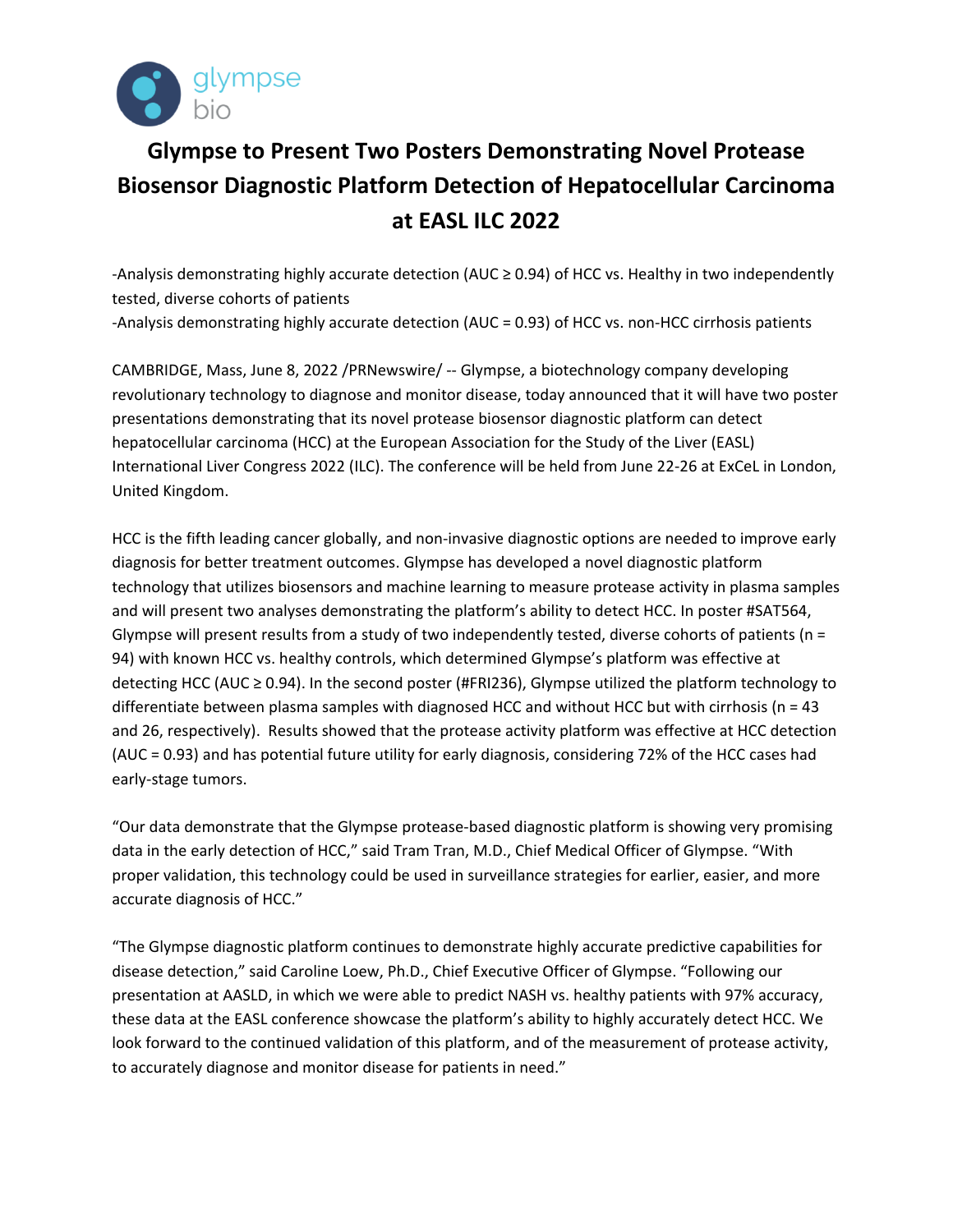

## **Glympse to Present Two Posters Demonstrating Novel Protease Biosensor Diagnostic Platform Detection of Hepatocellular Carcinoma at EASL ILC 2022**

-Analysis demonstrating highly accurate detection (AUC ≥ 0.94) of HCC vs. Healthy in two independently tested, diverse cohorts of patients -Analysis demonstrating highly accurate detection (AUC = 0.93) of HCC vs. non-HCC cirrhosis patients

CAMBRIDGE, Mass, June 8, 2022 /PRNewswire/ -- Glympse, a biotechnology company developing revolutionary technology to diagnose and monitor disease, today announced that it will have two poster presentations demonstrating that its novel protease biosensor diagnostic platform can detect hepatocellular carcinoma (HCC) at the European Association for the Study of the Liver (EASL) International Liver Congress 2022 (ILC). The conference will be held from June 22-26 at ExCeL in London, United Kingdom.

HCC is the fifth leading cancer globally, and non-invasive diagnostic options are needed to improve early diagnosis for better treatment outcomes. Glympse has developed a novel diagnostic platform technology that utilizes biosensors and machine learning to measure protease activity in plasma samples and will present two analyses demonstrating the platform's ability to detect HCC. In poster #SAT564, Glympse will present results from a study of two independently tested, diverse cohorts of patients ( $n =$ 94) with known HCC vs. healthy controls, which determined Glympse's platform was effective at detecting HCC (AUC ≥ 0.94). In the second poster (#FRI236), Glympse utilized the platform technology to differentiate between plasma samples with diagnosed HCC and without HCC but with cirrhosis ( $n = 43$ ) and 26, respectively). Results showed that the protease activity platform was effective at HCC detection (AUC = 0.93) and has potential future utility for early diagnosis, considering 72% of the HCC cases had early-stage tumors.

"Our data demonstrate that the Glympse protease-based diagnostic platform is showing very promising data in the early detection of HCC," said Tram Tran, M.D., Chief Medical Officer of Glympse. "With proper validation, this technology could be used in surveillance strategies for earlier, easier, and more accurate diagnosis of HCC."

"The Glympse diagnostic platform continues to demonstrate highly accurate predictive capabilities for disease detection," said Caroline Loew, Ph.D., Chief Executive Officer of Glympse. "Following our presentation at AASLD, in which we were able to predict NASH vs. healthy patients with 97% accuracy, these data at the EASL conference showcase the platform's ability to highly accurately detect HCC. We look forward to the continued validation of this platform, and of the measurement of protease activity, to accurately diagnose and monitor disease for patients in need."